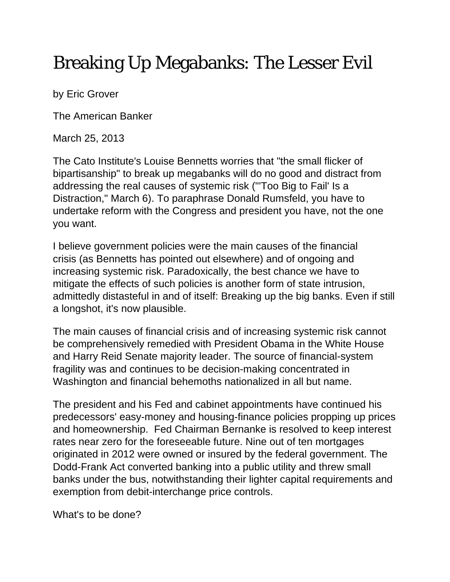## Breaking Up Megabanks: The Lesser Evil

by Eric Grover

The American Banker

March 25, 2013

The Cato Institute's Louise Bennetts worries that "the small flicker of bipartisanship" to break up megabanks will do no good and distract from addressing the real causes of systemic risk ("'Too Big to Fail' Is a Distraction," March 6). To paraphrase Donald Rumsfeld, you have to undertake reform with the Congress and president you have, not the one you want.

I believe government policies were the main causes of the financial crisis (as Bennetts has pointed out elsewhere) and of ongoing and increasing systemic risk. Paradoxically, the best chance we have to mitigate the effects of such policies is another form of state intrusion, admittedly distasteful in and of itself: Breaking up the big banks. Even if still a longshot, it's now plausible.

The main causes of financial crisis and of increasing systemic risk cannot be comprehensively remedied with President Obama in the White House and Harry Reid Senate majority leader. The source of financial-system fragility was and continues to be decision-making concentrated in Washington and financial behemoths nationalized in all but name.

The president and his Fed and cabinet appointments have continued his predecessors' easy-money and housing-finance policies propping up prices and homeownership. Fed Chairman Bernanke is resolved to keep interest rates near zero for the foreseeable future. Nine out of ten mortgages originated in 2012 were owned or insured by the federal government. The Dodd-Frank Act converted banking into a public utility and threw small banks under the bus, notwithstanding their lighter capital requirements and exemption from debit-interchange price controls.

What's to be done?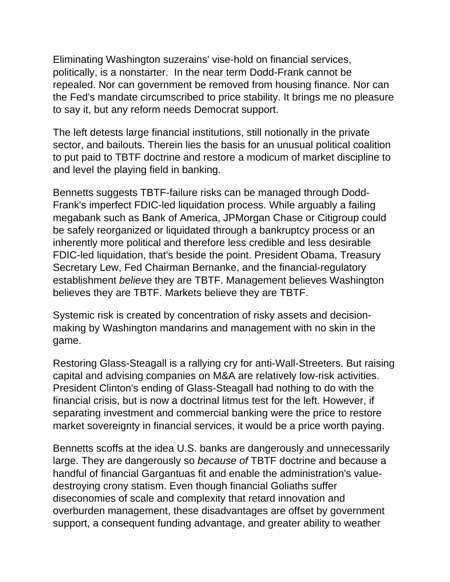Eliminating Washington suzerains' vise-hold on financial services, politically, is a nonstarter. In the near term Dodd-Frank cannot be repealed. Nor can government be removed from housing finance. Nor can the Fed's mandate circumscribed to price stability. It brings me no pleasure to say it, but any reform needs Democrat support.

The left detests large financial institutions, still notionally in the private sector, and bailouts. Therein lies the basis for an unusual political coalition to put paid to TBTF doctrine and restore a modicum of market discipline to and level the playing field in banking.

Bennetts suggests TBTF-failure risks can be managed through Dodd-Frank's imperfect FDIC-led liquidation process. While arguably a failing megabank such as Bank of America, JPMorgan Chase or Citigroup could be safely reorganized or liquidated through a bankruptcy process or an inherently more political and therefore less credible and less desirable FDIC-led liquidation, that's beside the point. President Obama, Treasury Secretary Lew, Fed Chairman Bernanke, and the financial-regulatory establishment *believe* they are TBTF. Management believes Washington believes they are TBTF. Markets believe they are TBTF.

Systemic risk is created by concentration of risky assets and decisionmaking by Washington mandarins and management with no skin in the game.

Restoring Glass-Steagall is a rallying cry for anti-Wall-Streeters. But raising capital and advising companies on M&A are relatively low-risk activities. President Clinton's ending of Glass-Steagall had nothing to do with the financial crisis, but is now a doctrinal litmus test for the left. However, if separating investment and commercial banking were the price to restore market sovereignty in financial services, it would be a price worth paying.

Bennetts scoffs at the idea U.S. banks are dangerously and unnecessarily large. They are dangerously so *because of* TBTF doctrine and because a handful of financial Gargantuas fit and enable the administration's valuedestroying crony statism. Even though financial Goliaths suffer diseconomies of scale and complexity that retard innovation and overburden management, these disadvantages are offset by government support, a consequent funding advantage, and greater ability to weather